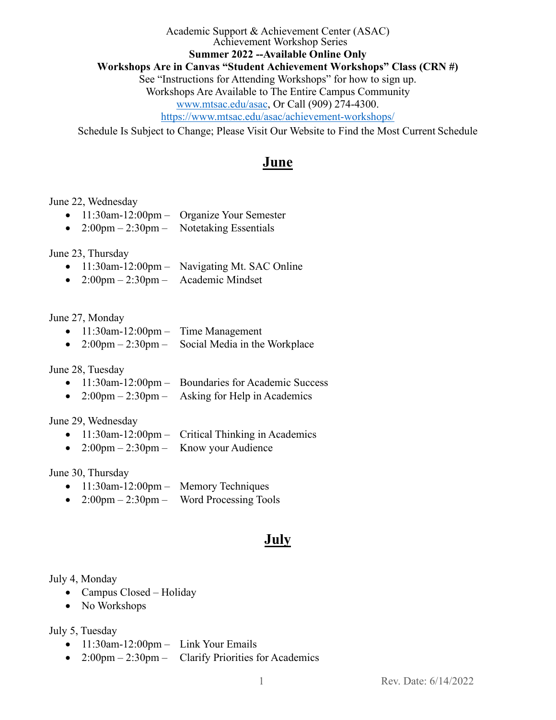Academic Support & Achievement Center (ASAC) Achievement Workshop Series **Summer 2022 --Available Online Only Workshops Are in Canvas "Student Achievement Workshops" Class (CRN #)** See "Instructions for Attending Workshops" for how to sign up. Workshops Are Available to The Entire Campus Community [www.mtsac.edu/asac,](http://www.mtsac.edu/asac) Or Call (909) 274-4300. <https://www.mtsac.edu/asac/achievement-workshops/>

Schedule Is Subject to Change; Please Visit Our Website to Find the Most Current Schedule

## **June**

### June 22, Wednesday

- 11:30am-12:00pm Organize Your Semester
- $2:00 \text{pm} 2:30 \text{pm} -$  Notetaking Essentials

June 23, Thursday

- 11:30am-12:00pm Navigating Mt. SAC Online
- $2:00 \text{pm} 2:30 \text{pm} -$  Academic Mindset

### June 27, Monday

- 11:30am-12:00pm Time Management
- $2:00 \text{pm} 2:30 \text{pm} -$  Social Media in the Workplace

### June 28, Tuesday

- 11:30am-12:00pm Boundaries for Academic Success
- $2:00 \text{pm} 2:30 \text{pm} 4$  Asking for Help in Academics

### June 29, Wednesday

- 11:30am-12:00pm Critical Thinking in Academics
- $2:00 \text{pm} 2:30 \text{pm} -$  Know your Audience

June 30, Thursday

- 11:30am-12:00pm Memory Techniques
- $2:00 \text{pm} 2:30 \text{pm} -$  Word Processing Tools

# **July**

### July 4, Monday

- Campus Closed Holiday
- No Workshops

### July 5, Tuesday

- $\bullet$  11:30am-12:00pm Link Your Emails
- $2:00 \text{pm} 2:30 \text{pm} \text{Clarity Priorities for Academics}$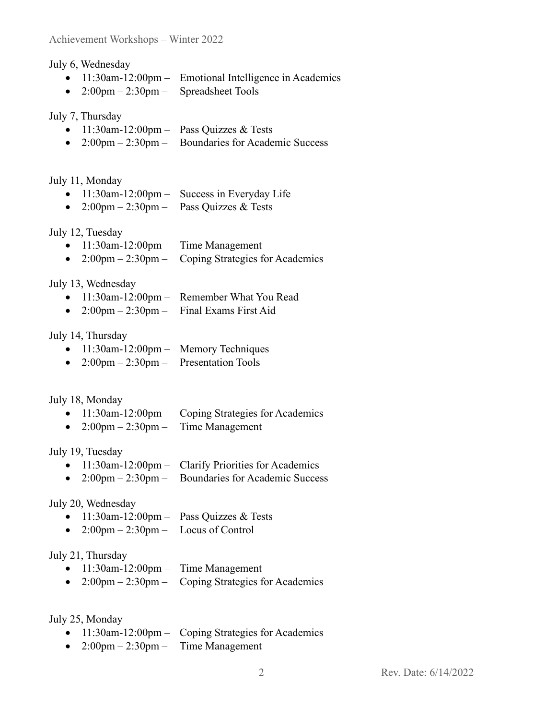July 6, Wednesday

- 11:30am-12:00pm Emotional Intelligence in Academics
- $2:00 \text{pm} 2:30 \text{pm} \text{Spreadsheet Tools}$

July 7, Thursday

- $11:30$ am-12:00pm Pass Quizzes & Tests
- 2:00pm 2:30pm Boundaries for Academic Success

July 11, Monday

- 11:30am-12:00pm Success in Everyday Life
- 2:00pm 2:30pm Pass Quizzes & Tests

July 12, Tuesday

- 11:30am-12:00pm Time Management
- $2:00 \text{pm} 2:30 \text{pm} \text{Coping Strategies for Academics}$

July 13, Wednesday

- 11:30am-12:00pm Remember What You Read
- $2:00 \text{pm} 2:30 \text{pm} \text{Final Exams First Aid}$

July 14, Thursday

- 11:30am-12:00pm Memory Techniques
- $2:00 \text{pm} 2:30 \text{pm} -$  Presentation Tools

July 18, Monday

- 11:30am-12:00pm Coping Strategies for Academics
- $2:00 \text{pm} 2:30 \text{pm} -$  Time Management

July 19, Tuesday

- 11:30am-12:00pm Clarify Priorities for Academics
- 2:00pm 2:30pm Boundaries for Academic Success

July 20, Wednesday

- $11:30$ am-12:00pm Pass Quizzes & Tests
- $2:00 \text{pm} 2:30 \text{pm} -$  Locus of Control

July 21, Thursday

- 11:30am-12:00pm Time Management
- 2:00pm 2:30pm Coping Strategies for Academics

July 25, Monday

- 11:30am-12:00pm Coping Strategies for Academics
- $2:00 \text{pm} 2:30 \text{pm} -$  Time Management